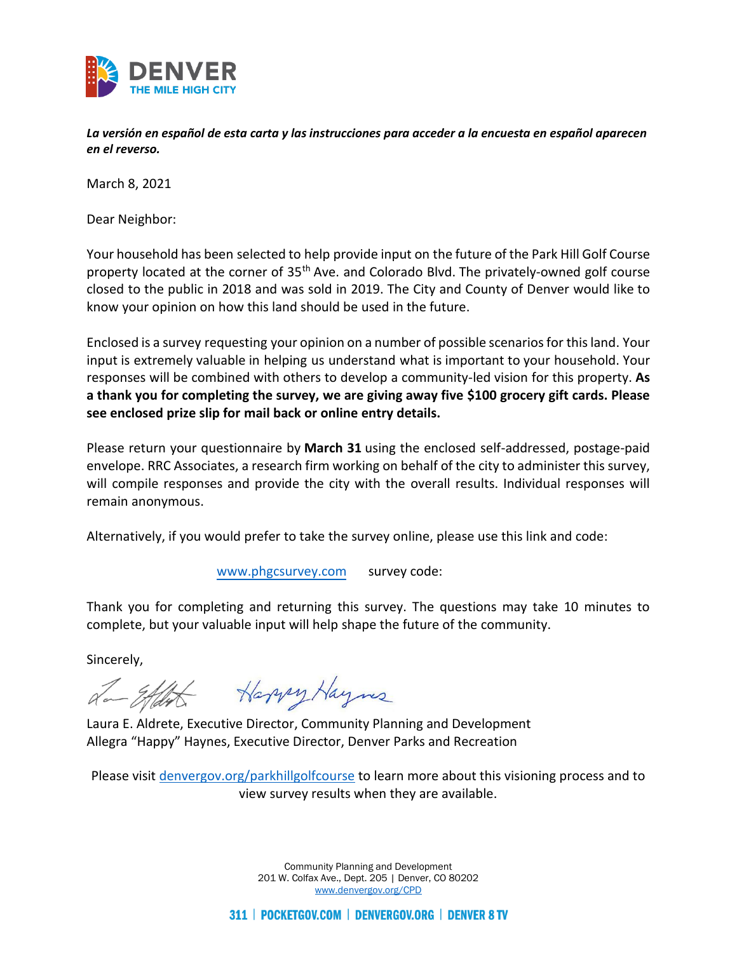

*La versión en español de esta carta y las instrucciones para acceder a la encuesta en español aparecen en el reverso.*

March 8, 2021

Dear Neighbor:

Your household has been selected to help provide input on the future of the Park Hill Golf Course property located at the corner of 35<sup>th</sup> Ave. and Colorado Blvd. The privately-owned golf course closed to the public in 2018 and was sold in 2019. The City and County of Denver would like to know your opinion on how this land should be used in the future.

Enclosed is a survey requesting your opinion on a number of possible scenarios for this land. Your input is extremely valuable in helping us understand what is important to your household. Your responses will be combined with others to develop a community-led vision for this property. **As a thank you for completing the survey, we are giving away five \$100 grocery gift cards. Please see enclosed prize slip for mail back or online entry details.**

Please return your questionnaire by **March 31** using the enclosed self-addressed, postage-paid envelope. RRC Associates, a research firm working on behalf of the city to administer this survey, will compile responses and provide the city with the overall results. Individual responses will remain anonymous.

Alternatively, if you would prefer to take the survey online, please use this link and code:

[www.phgcsurvey.com](http://www.phgcsurvey.com/) survey code:

Thank you for completing and returning this survey. The questions may take 10 minutes to complete, but your valuable input will help shape the future of the community.

Sincerely,

a-Ethit Harry Haynes

Laura E. Aldrete, Executive Director, Community Planning and Development Allegra "Happy" Haynes, Executive Director, Denver Parks and Recreation

Please visit [denvergov.org/parkhillgolfcourse](http://www.denvergov.org/parkhillgolfcourse) to learn more about this visioning process and to view survey results when they are available.

> Community Planning and Development 201 W. Colfax Ave., Dept. 205 | Denver, CO 80202 [www.denvergov.org/CPD](http://www.denvergov.org/CPD)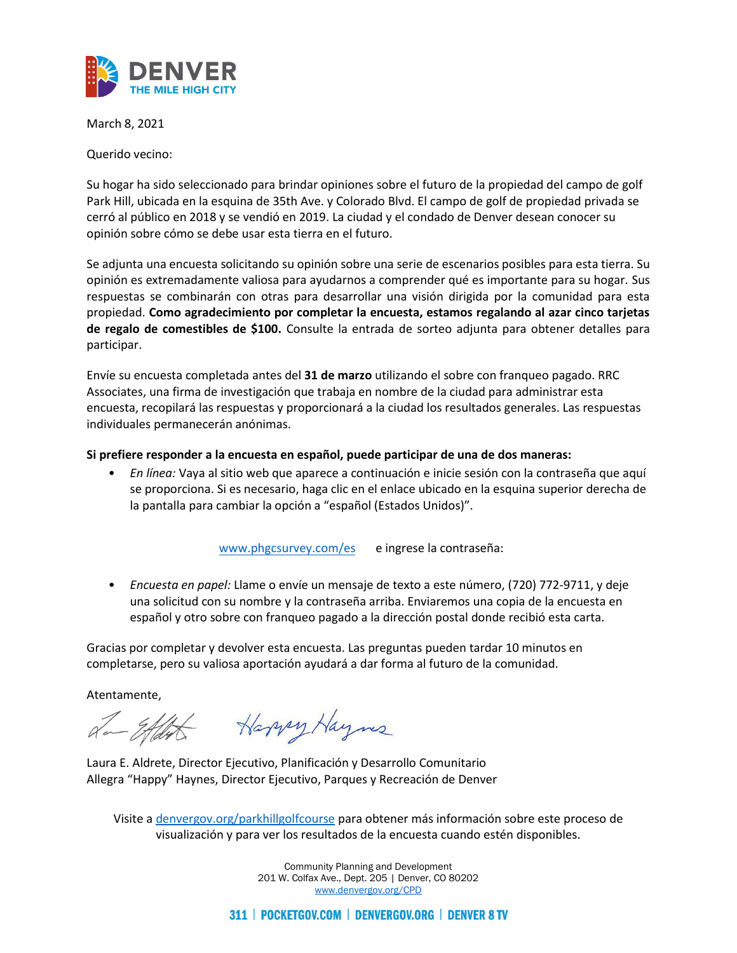

March 8, 2021

Querido vecino:

Su hogar ha sido seleccionado para brindar opiniones sobre el futuro de la propiedad del campo de golf Park Hill, ubicada en la esquina de 35th Ave. y Colorado Blvd. El campo de golf de propiedad privada se cerró al público en 2018 y se vendió en 2019. La ciudad y el condado de Denver desean conocer su opinión sobre cómo se debe usar esta tierra en el futuro.

Se adjunta una encuesta solicitando su opinión sobre una serie de escenarios posibles para esta tierra. Su opinión es extremadamente valiosa para ayudarnos a comprender qué es importante para su hogar. Sus respuestas se combinarán con otras para desarrollar una visión dirigida por la comunidad para esta propiedad. **Como agradecimiento por completar la encuesta, estamos regalando al azar cinco tarjetas de regalo de comestibles de \$100.** Consulte la entrada de sorteo adjunta para obtener detalles para participar.

Envíe su encuesta completada antes del **31 de marzo** utilizando el sobre con franqueo pagado. RRC Associates, una firma de investigación que trabaja en nombre de la ciudad para administrar esta encuesta, recopilará las respuestas y proporcionará a la ciudad los resultados generales. Las respuestas individuales permanecerán anónimas.

#### **Si prefiere responder a la encuesta en español, puede participar de una de dos maneras:**

• *En línea:* Vaya al sitio web que aparece a continuación e inicie sesión con la contraseña que aquí se proporciona. Si es necesario, haga clic en el enlace ubicado en la esquina superior derecha de la pantalla para cambiar la opción a "español (Estados Unidos)".

[www.phgcsurvey.com/](http://www.phgcsurvey.com/)es e ingrese la contraseña:

• *Encuesta en papel:* Llame o envíe un mensaje de texto a este número, (720) 772-9711, y deje una solicitud con su nombre y la contraseña arriba. Enviaremos una copia de la encuesta en español y otro sobre con franqueo pagado a la dirección postal donde recibió esta carta.

Gracias por completar y devolver esta encuesta. Las preguntas pueden tardar 10 minutos en completarse, pero su valiosa aportación ayudará a dar forma al futuro de la comunidad.

Atentamente,

a-Etdit Harry Haynes

Laura E. Aldrete, Director Ejecutivo, Planificación y Desarrollo Comunitario Allegra "Happy" Haynes, Director Ejecutivo, Parques y Recreación de Denver

Visite a [denvergov.org/parkhillgolfcourse](http://www.denvergov.org/parkhillgolfcourse) para obtener más información sobre este proceso de visualización y para ver los resultados de la encuesta cuando estén disponibles.

> Community Planning and Development 201 W. Colfax Ave., Dept. 205 | Denver, CO 80202 [www.denvergov.org/CPD](http://www.denvergov.org/CPD)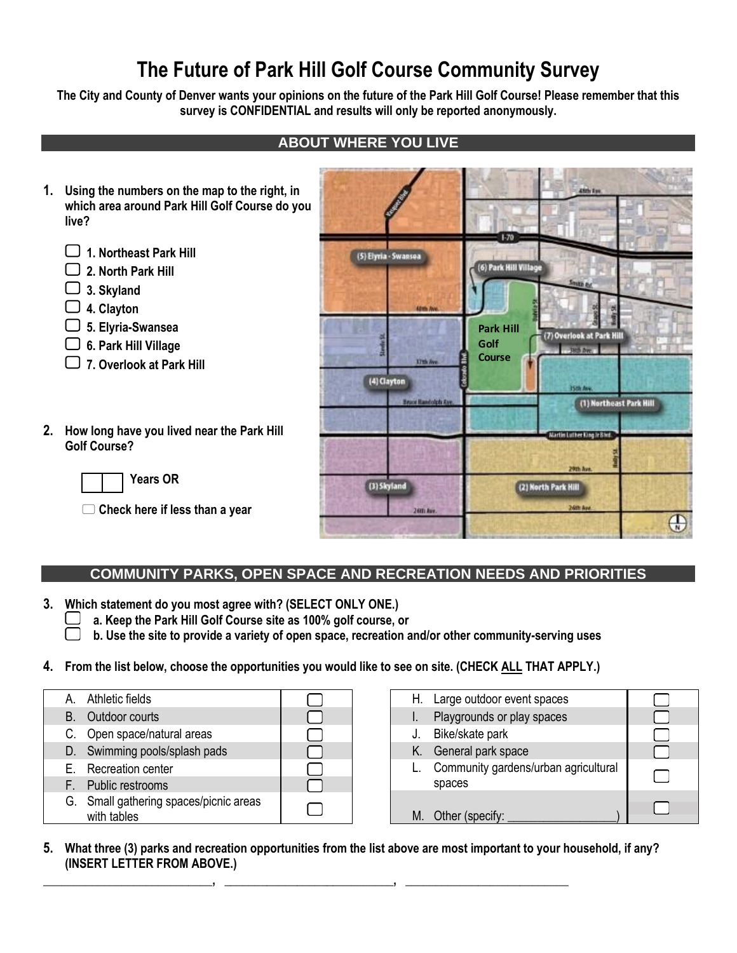# **The Future of Park Hill Golf Course Community Survey**

**The City and County of Denver wants your opinions on the future of the Park Hill Golf Course! Please remember that this survey is CONFIDENTIAL and results will only be reported anonymously.**

# **ABOUT WHERE YOU LIVE**

- **1. Using the numbers on the map to the right, in which area around Park Hill Golf Course do you live?** 
	- **1. Northeast Park Hill**
	- **2. North Park Hill**
	- **3. Skyland**
	- **4. Clayton**
	- **5. Elyria-Swansea**
	- **6. Park Hill Village**
	- **7. Overlook at Park Hill**
- **2. How long have you lived near the Park Hill Golf Course?**

**Years OR** 

**Check here if less than a year**

| <b>Contractory</b><br>U                    | 48th Ave.                                                                                                   |
|--------------------------------------------|-------------------------------------------------------------------------------------------------------------|
| (5) Elyria - Swansea<br><b>Altris Ave.</b> | $1-70$<br>(6) Park Hill Village<br>Smith Ad<br><b>Given</b><br>荫                                            |
| ā<br>17th Ave.                             | <b>Park Hill</b><br>(7) Overlook at Park Hill<br>Golf<br><b>CONTINUE</b><br><b>Course</b><br>ão a<br>E<br>S |
| (4) Clayton<br>Bruce Randolph Ave.         | 15th Ave.<br>(1) Northeast Park Hill<br>Martin Luther King Ir Blvd.                                         |
| (3) Skyland                                | 29th Ave.<br>(2) North Park Hill                                                                            |
| 26th Ave.                                  | 26th Ave.<br>$\frac{1}{N}$                                                                                  |

### **COMMUNITY PARKS, OPEN SPACE AND RECREATION NEEDS AND PRIORITIES**

**3. Which statement do you most agree with? (SELECT ONLY ONE.)** 

- **a. Keep the Park Hill Golf Course site as 100% golf course, or**
	- **b. Use the site to provide a variety of open space, recreation and/or other community-serving uses**

#### **4. From the list below, choose the opportunities you would like to see on site. (CHECK ALL THAT APPLY.)**

| A. Athletic fields                                    |  |
|-------------------------------------------------------|--|
| <b>B.</b> Outdoor courts                              |  |
| C. Open space/natural areas                           |  |
| D. Swimming pools/splash pads                         |  |
| E. Recreation center                                  |  |
| F. Public restrooms                                   |  |
| G. Small gathering spaces/picnic areas<br>with tables |  |

| H. Large outdoor event spaces                  |  |
|------------------------------------------------|--|
| Playgrounds or play spaces<br>I.               |  |
| Bike/skate park<br>J.                          |  |
| General park space<br>Κ.                       |  |
| Community gardens/urban agricultural<br>spaces |  |
| Other (specify:                                |  |

**5. What three (3) parks and recreation opportunities from the list above are most important to your household, if any? (INSERT LETTER FROM ABOVE.)**

**\_\_\_\_\_\_\_\_\_\_\_\_\_\_\_\_\_\_\_\_\_\_\_\_\_\_\_\_, \_\_\_\_\_\_\_\_\_\_\_\_\_\_\_\_\_\_\_\_\_\_\_\_\_\_\_\_, \_\_\_\_\_\_\_\_\_\_\_\_\_\_\_\_\_\_\_\_\_\_\_\_\_\_\_**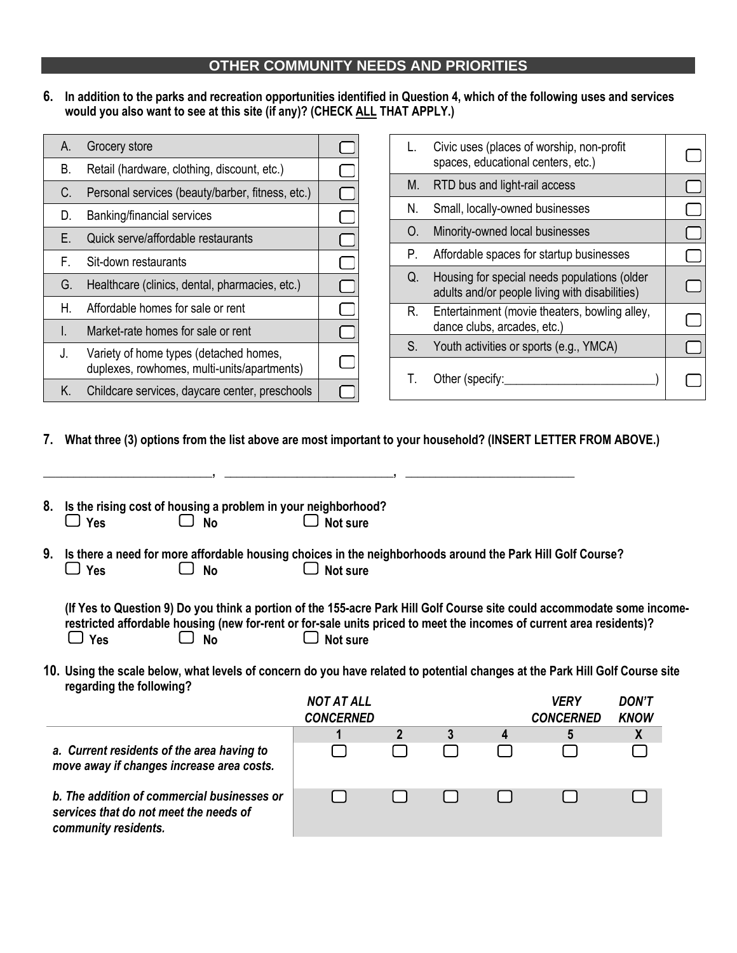## **OTHER COMMUNITY NEEDS AND PRIORITIES**

**6. In addition to the parks and recreation opportunities identified in Question 4, which of the following uses and services would you also want to see at this site (if any)? (CHECK ALL THAT APPLY.)**

| Α. | Grocery store                                                                         |  |
|----|---------------------------------------------------------------------------------------|--|
| В. | Retail (hardware, clothing, discount, etc.)                                           |  |
| C. | Personal services (beauty/barber, fitness, etc.)                                      |  |
| D. | Banking/financial services                                                            |  |
| F. | Quick serve/affordable restaurants                                                    |  |
| E. | Sit-down restaurants                                                                  |  |
| G. | Healthcare (clinics, dental, pharmacies, etc.)                                        |  |
| Η. | Affordable homes for sale or rent                                                     |  |
| L  | Market-rate homes for sale or rent                                                    |  |
| J. | Variety of home types (detached homes,<br>duplexes, rowhomes, multi-units/apartments) |  |
| K. | Childcare services, daycare center, preschools                                        |  |

|    | Civic uses (places of worship, non-profit<br>spaces, educational centers, etc.)                |  |
|----|------------------------------------------------------------------------------------------------|--|
| M. | RTD bus and light-rail access                                                                  |  |
| N. | Small, locally-owned businesses                                                                |  |
| O. | Minority-owned local businesses                                                                |  |
| Р. | Affordable spaces for startup businesses                                                       |  |
| Q. | Housing for special needs populations (older<br>adults and/or people living with disabilities) |  |
| R. | Entertainment (movie theaters, bowling alley,<br>dance clubs, arcades, etc.)                   |  |
| S. | Youth activities or sports (e.g., YMCA)                                                        |  |
|    | Other (specify:                                                                                |  |

**7. What three (3) options from the list above are most important to your household? (INSERT LETTER FROM ABOVE.)**

|            | 8. Is the rising cost of housing a problem in your neighborhood? |                 |
|------------|------------------------------------------------------------------|-----------------|
| $\Box$ Yes | $\Box$ No                                                        | $\Box$ Not sure |

|            |           | 9. Is there a need for more affordable housing choices in the neighborhoods around the Park Hill Golf Course? |
|------------|-----------|---------------------------------------------------------------------------------------------------------------|
| $\Box$ Yes | $\Box$ No | $\Box$ Not sure                                                                                               |

**\_\_\_\_\_\_\_\_\_\_\_\_\_\_\_\_\_\_\_\_\_\_\_\_\_\_\_\_, \_\_\_\_\_\_\_\_\_\_\_\_\_\_\_\_\_\_\_\_\_\_\_\_\_\_\_\_, \_\_\_\_\_\_\_\_\_\_\_\_\_\_\_\_\_\_\_\_\_\_\_\_\_\_\_\_**

|            |           | (If Yes to Question 9) Do you think a portion of the 155-acre Park Hill Golf Course site could accommodate some income- |
|------------|-----------|-------------------------------------------------------------------------------------------------------------------------|
|            |           | restricted affordable housing (new for-rent or for-sale units priced to meet the incomes of current area residents)?    |
| $\Box$ Yes | $\Box$ No | $\Box$ Not sure                                                                                                         |

**10. Using the scale below, what levels of concern do you have related to potential changes at the Park Hill Golf Course site regarding the following?**

|                                                                                                               | <b>NOT AT ALL</b><br><b>CONCERNED</b> |  |   | <b>VERY</b><br><b>CONCERNED</b> | <b>DON'T</b><br><b>KNOW</b> |
|---------------------------------------------------------------------------------------------------------------|---------------------------------------|--|---|---------------------------------|-----------------------------|
|                                                                                                               |                                       |  | 4 | 5                               |                             |
| a. Current residents of the area having to<br>move away if changes increase area costs.                       |                                       |  |   |                                 |                             |
| b. The addition of commercial businesses or<br>services that do not meet the needs of<br>community residents. |                                       |  |   |                                 |                             |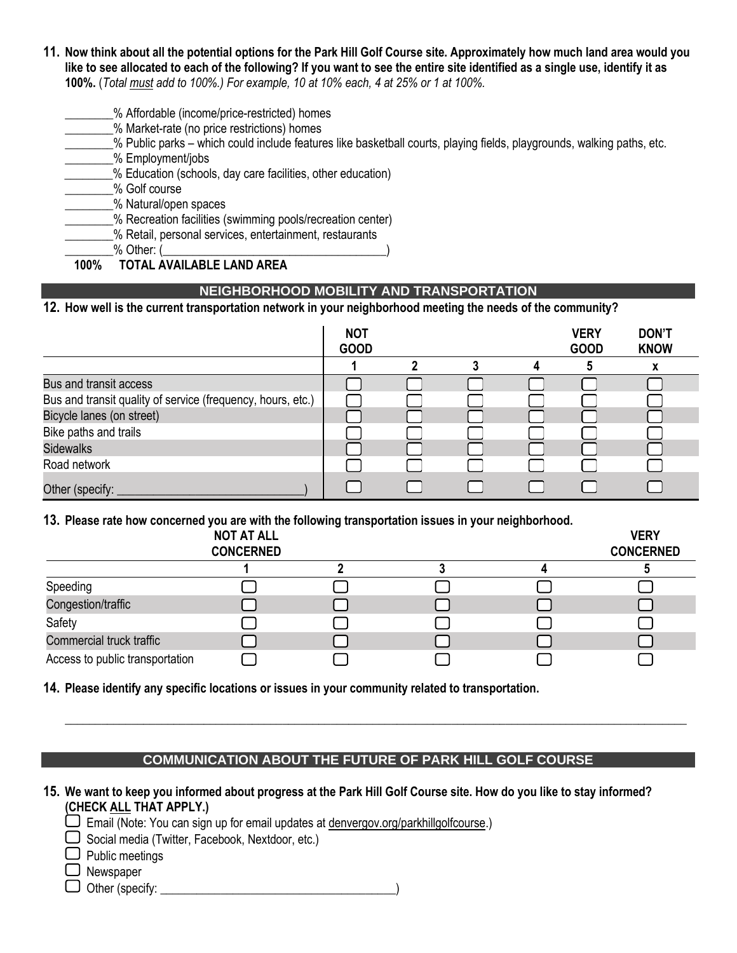- **11. Now think about all the potential options for the Park Hill Golf Course site. Approximately how much land area would you like to see allocated to each of the following? If you want to see the entire site identified as a single use, identify it as 100%.** (*Total must add to 100%.) For example, 10 at 10% each, 4 at 25% or 1 at 100%.*
	- \_\_\_\_\_\_\_\_% Affordable (income/price-restricted) homes
	- \_\_\_\_\_\_\_\_% Market-rate (no price restrictions) homes

\_\_\_\_\_\_\_\_% Public parks – which could include features like basketball courts, playing fields, playgrounds, walking paths, etc.

\_\_\_\_\_\_\_\_% Employment/jobs

\_\_\_\_\_\_\_\_% Education (schools, day care facilities, other education)

\_\_\_\_\_\_\_\_% Golf course

\_\_\_\_\_\_\_\_% Natural/open spaces

\_\_\_\_\_\_\_\_% Recreation facilities (swimming pools/recreation center)

% Retail, personal services, entertainment, restaurants

 $\%$  Other: (

 **100% TOTAL AVAILABLE LAND AREA**

# **NEIGHBORHOOD MOBILITY AND TRANSPORTATION**

## **12. How well is the current transportation network in your neighborhood meeting the needs of the community?**

|                                                             | <b>NOT</b><br><b>GOOD</b> |  | <b>VERY</b><br><b>GOOD</b> | <b>DON'T</b><br><b>KNOW</b> |
|-------------------------------------------------------------|---------------------------|--|----------------------------|-----------------------------|
|                                                             |                           |  |                            |                             |
| Bus and transit access                                      |                           |  |                            |                             |
| Bus and transit quality of service (frequency, hours, etc.) |                           |  |                            |                             |
| Bicycle lanes (on street)                                   |                           |  |                            |                             |
| Bike paths and trails                                       |                           |  |                            |                             |
| <b>Sidewalks</b>                                            |                           |  |                            |                             |
| Road network                                                |                           |  |                            |                             |
| Other (specify:                                             |                           |  |                            |                             |

#### **13. Please rate how concerned you are with the following transportation issues in your neighborhood.**

|                                 | <b>NOT AT ALL</b><br><b>CONCERNED</b> |  | <b>VERY</b><br><b>CONCERNED</b> |
|---------------------------------|---------------------------------------|--|---------------------------------|
|                                 |                                       |  |                                 |
| Speeding                        |                                       |  |                                 |
| Congestion/traffic              |                                       |  |                                 |
| Safety                          |                                       |  |                                 |
| Commercial truck traffic        |                                       |  |                                 |
| Access to public transportation |                                       |  |                                 |

**14. Please identify any specific locations or issues in your community related to transportation.**

### **COMMUNICATION ABOUT THE FUTURE OF PARK HILL GOLF COURSE**

**\_\_\_\_\_\_\_\_\_\_\_\_\_\_\_\_\_\_\_\_\_\_\_\_\_\_\_\_\_\_\_\_\_\_\_\_\_\_\_\_\_\_\_\_\_\_\_\_\_\_\_\_\_\_\_\_\_\_\_\_\_\_\_\_\_\_\_\_\_\_\_\_\_\_\_\_\_\_\_\_\_\_\_\_\_\_\_\_\_\_\_\_\_\_\_\_\_\_\_\_\_\_\_**

## **15. We want to keep you informed about progress at the Park Hill Golf Course site. How do you like to stay informed? (CHECK ALL THAT APPLY.)**

 $\square$  Email (Note: You can sign up for email updates at denvergov.org/parkhillgolfcourse.)

 $\Box$  Social media (Twitter, Facebook, Nextdoor, etc.)

 $\Box$  Public meetings

O Newspaper

 $\Box$  Other (specify: